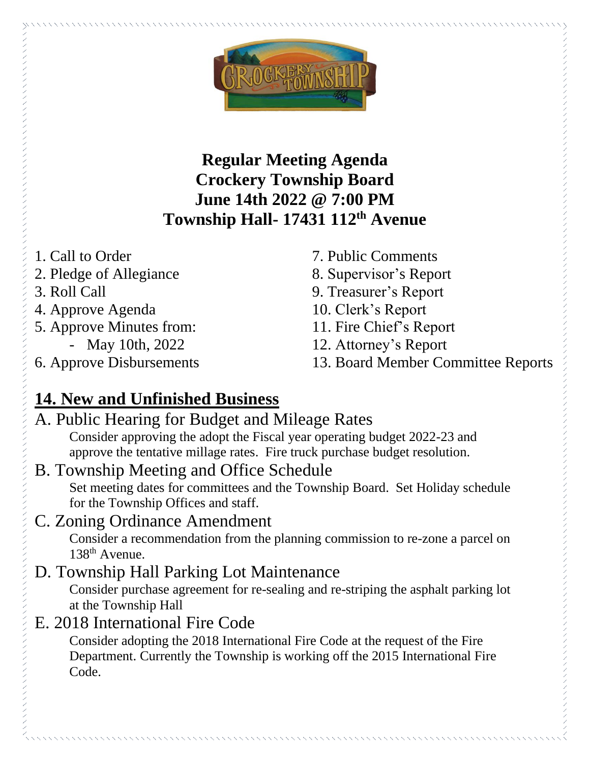

**Regular Meeting Agenda Crockery Township Board June 14th 2022 @ 7:00 PM Township Hall- 17431 112th Avenue**

- 1. Call to Order
- 2. Pledge of Allegiance
- 3. Roll Call
- 4. Approve Agenda
- 5. Approve Minutes from:
	- May 10th, 2022
- 6. Approve Disbursements
- 7. Public Comments
- 8. Supervisor's Report
- 9. Treasurer's Report
- 10. Clerk's Report
- 11. Fire Chief's Report
- 12. Attorney's Report
- 13. Board Member Committee Reports

# **14. New and Unfinished Business**

#### A. Public Hearing for Budget and Mileage Rates Consider approving the adopt the Fiscal year operating budget 2022-23 and approve the tentative millage rates. Fire truck purchase budget resolution.

B. Township Meeting and Office Schedule Set meeting dates for committees and the Township Board. Set Holiday schedule for the Township Offices and staff.

#### C. Zoning Ordinance Amendment

Consider a recommendation from the planning commission to re-zone a parcel on 138th Avenue.

## D. Township Hall Parking Lot Maintenance

Consider purchase agreement for re-sealing and re-striping the asphalt parking lot at the Township Hall

#### E. 2018 International Fire Code

Consider adopting the 2018 International Fire Code at the request of the Fire Department. Currently the Township is working off the 2015 International Fire Code.